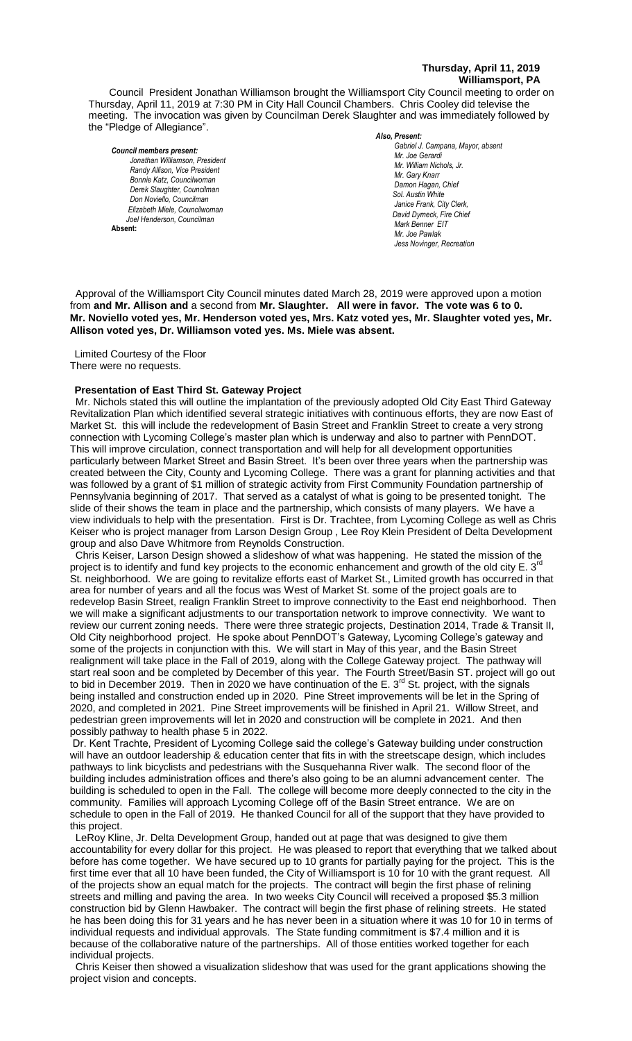#### **Thursday, April 11, 2019 Williamsport, PA**

Council President Jonathan Williamson brought the Williamsport City Council meeting to order on Thursday, April 11, 2019 at 7:30 PM in City Hall Council Chambers. Chris Cooley did televise the meeting. The invocation was given by Councilman Derek Slaughter and was immediately followed by the "Pledge of Allegiance".

#### *Council members present:*

*Jonathan Williamson, President*  **Randy Allison, Vice President Bill Hall, Council Hall, Council Bill Hall, Council Bill Hall, Carl Knarr**<br>Bill Hall, Carl Knarr *Bonnie Katz, Councilwoman Derek Slaughter, Councilman Don Noviello, Councilman Elizabeth Miele, Councilwoman Joel Henderson, Councilman*  **Absent:** 

#### *Also, Present:*

*Gabriel J. Campana, Mayor, absent Mr. William Nichols, Jr. Mr. Joe Gerardi Mr. Joseph Pawlak Mr. William Nichols, Jr. Mr. Joe Pawlak Mr. Gary Knarr* Adam Winder *C. Dean Heinrich, Fire Chieffer Chieffer Chieffer Chieffer Chieffer Chieffer Chieffer Chieffer Chieffer Chieffer Chieffer Chieffer Chieffer Chieffer Chieffer Chieffer Chieffer Chieffer Chie Damon Hagan, Chief Chief Heinbach absent Sol. Austin White Janice Frank, City Clerk, David Dymeck, Fire Chief* **Adam Winder** *Adam Winder Adam Winder <b>Adam Winder 2004 Mark Benner EIT Mr. Joe Pawlak Jess Novinger, Recreation*

 Approval of the Williamsport City Council minutes dated March 28, 2019 were approved upon a motion *Mr. Joe Pawlak* from and Mr. Allison and a second from Mr. Slaughter. All were in favor. The vote was 6 to 0. ment and not vaneon and a sessitation and otac<sub>i</sub>gnon on the wore in favoriting yes, was over the conduction of the<br>Mr. Noviello voted yes, Mr. Henderson voted yes, Mrs. Katz voted yes, Mr. Slaughter voted yes, Mr. Allison voted yes, Dr. Williamson voted yes. Ms. Miele was absent. *Dave Young, Police Chief Chief Heinbach absent*

Limited Courtesy of the Floor There were no requests. 

#### **Presentation of East Third St. Gateway Project**

 Mr. Nichols stated this will outline the implantation of the previously adopted Old City East Third Gateway Revitalization Plan which identified several strategic initiatives with continuous efforts, they are now East of Market St. this will include the redevelopment of Basin Street and Franklin Street to create a very strong connection with Lycoming College's master plan which is underway and also to partner with PennDOT. *Members of the news media* This will improve circulation, connect transportation and will help for all development opportunities particularly between Market Street and Basin Street. It's been over three years when the partnership was created between the City, County and Lycoming College. There was a grant for planning activities and that was followed by a grant of \$1 million of strategic activity from First Community Foundation partnership of Pennsylvania beginning of 2017. That served as a catalyst of what is going to be presented tonight. The slide of their shows the team in place and the partnership, which consists of many players. We have a view individuals to help with the presentation. First is Dr. Trachtee, from Lycoming College as well as Chris Keiser who is project manager from Larson Design Group , Lee Roy Klein President of Delta Development group and also Dave Whitmore from Reynolds Construction.

 Chris Keiser, Larson Design showed a slideshow of what was happening. He stated the mission of the project is to identify and fund key projects to the economic enhancement and growth of the old city E. 3<sup>rd</sup> St. neighborhood. We are going to revitalize efforts east of Market St., Limited growth has occurred in that area for number of years and all the focus was West of Market St. some of the project goals are to redevelop Basin Street, realign Franklin Street to improve connectivity to the East end neighborhood. Then we will make a significant adjustments to our transportation network to improve connectivity. We want to review our current zoning needs. There were three strategic projects, Destination 2014, Trade & Transit II, Old City neighborhood project. He spoke about PennDOT's Gateway, Lycoming College's gateway and some of the projects in conjunction with this. We will start in May of this year, and the Basin Street realignment will take place in the Fall of 2019, along with the College Gateway project. The pathway will start real soon and be completed by December of this year. The Fourth Street/Basin ST. project will go out to bid in December 2019. Then in 2020 we have continuation of the E. 3<sup>rd</sup> St. project, with the signals being installed and construction ended up in 2020. Pine Street improvements will be let in the Spring of 2020, and completed in 2021. Pine Street improvements will be finished in April 21. Willow Street, and pedestrian green improvements will let in 2020 and construction will be complete in 2021. And then possibly pathway to health phase 5 in 2022.

Dr. Kent Trachte, President of Lycoming College said the college's Gateway building under construction will have an outdoor leadership & education center that fits in with the streetscape design, which includes pathways to link bicyclists and pedestrians with the Susquehanna River walk. The second floor of the building includes administration offices and there's also going to be an alumni advancement center. The building is scheduled to open in the Fall. The college will become more deeply connected to the city in the community. Families will approach Lycoming College off of the Basin Street entrance. We are on schedule to open in the Fall of 2019. He thanked Council for all of the support that they have provided to this project.

 LeRoy Kline, Jr. Delta Development Group, handed out at page that was designed to give them accountability for every dollar for this project. He was pleased to report that everything that we talked about before has come together. We have secured up to 10 grants for partially paying for the project. This is the first time ever that all 10 have been funded, the City of Williamsport is 10 for 10 with the grant request. All of the projects show an equal match for the projects. The contract will begin the first phase of relining streets and milling and paving the area. In two weeks City Council will received a proposed \$5.3 million construction bid by Glenn Hawbaker. The contract will begin the first phase of relining streets. He stated he has been doing this for 31 years and he has never been in a situation where it was 10 for 10 in terms of individual requests and individual approvals. The State funding commitment is \$7.4 million and it is because of the collaborative nature of the partnerships. All of those entities worked together for each individual projects.

 Chris Keiser then showed a visualization slideshow that was used for the grant applications showing the project vision and concepts.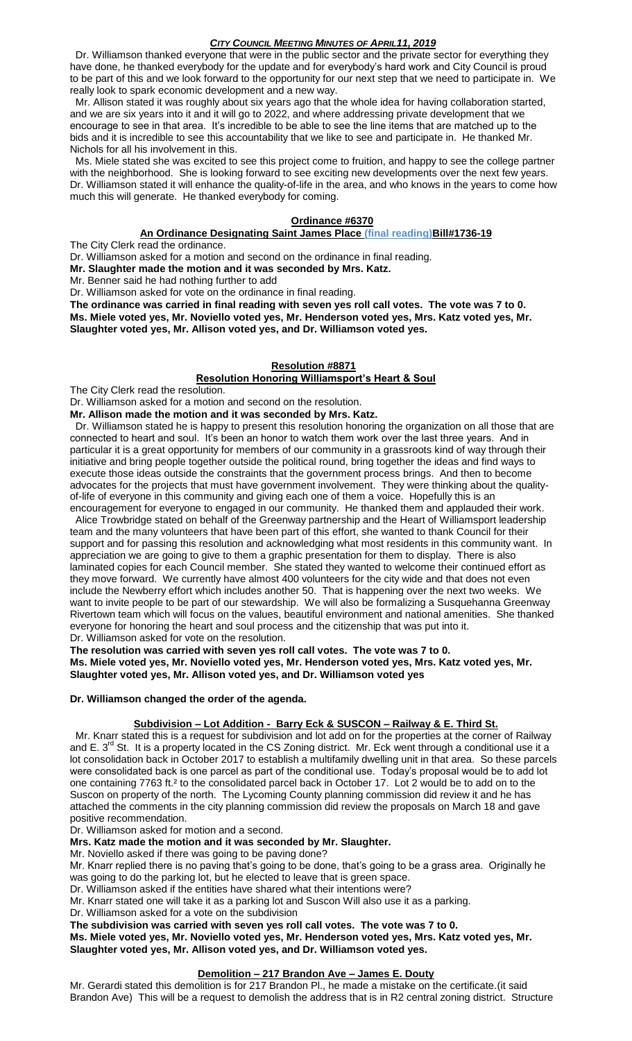Dr. Williamson thanked everyone that were in the public sector and the private sector for everything they have done, he thanked everybody for the update and for everybody's hard work and City Council is proud to be part of this and we look forward to the opportunity for our next step that we need to participate in. We really look to spark economic development and a new way.

 Mr. Allison stated it was roughly about six years ago that the whole idea for having collaboration started, and we are six years into it and it will go to 2022, and where addressing private development that we encourage to see in that area. It's incredible to be able to see the line items that are matched up to the bids and it is incredible to see this accountability that we like to see and participate in. He thanked Mr. Nichols for all his involvement in this.

 Ms. Miele stated she was excited to see this project come to fruition, and happy to see the college partner with the neighborhood. She is looking forward to see exciting new developments over the next few years. Dr. Williamson stated it will enhance the quality-of-life in the area, and who knows in the years to come how much this will generate. He thanked everybody for coming.

## **Ordinance #6370**

### **An Ordinance Designating Saint James Place (final reading)Bill#1736-19**

The City Clerk read the ordinance.

Dr. Williamson asked for a motion and second on the ordinance in final reading.

**Mr. Slaughter made the motion and it was seconded by Mrs. Katz.**

Mr. Benner said he had nothing further to add

Dr. Williamson asked for vote on the ordinance in final reading.

**The ordinance was carried in final reading with seven yes roll call votes. The vote was 7 to 0. Ms. Miele voted yes, Mr. Noviello voted yes, Mr. Henderson voted yes, Mrs. Katz voted yes, Mr. Slaughter voted yes, Mr. Allison voted yes, and Dr. Williamson voted yes.**

## **Resolution #8871**

## **Resolution Honoring Williamsport's Heart & Soul**

The City Clerk read the resolution.

Dr. Williamson asked for a motion and second on the resolution.

**Mr. Allison made the motion and it was seconded by Mrs. Katz.**

Dr. Williamson stated he is happy to present this resolution honoring the organization on all those that are connected to heart and soul. It's been an honor to watch them work over the last three years. And in particular it is a great opportunity for members of our community in a grassroots kind of way through their initiative and bring people together outside the political round, bring together the ideas and find ways to execute those ideas outside the constraints that the government process brings. And then to become advocates for the projects that must have government involvement. They were thinking about the qualityof-life of everyone in this community and giving each one of them a voice. Hopefully this is an encouragement for everyone to engaged in our community. He thanked them and applauded their work.

 Alice Trowbridge stated on behalf of the Greenway partnership and the Heart of Williamsport leadership team and the many volunteers that have been part of this effort, she wanted to thank Council for their support and for passing this resolution and acknowledging what most residents in this community want. In appreciation we are going to give to them a graphic presentation for them to display. There is also laminated copies for each Council member. She stated they wanted to welcome their continued effort as they move forward. We currently have almost 400 volunteers for the city wide and that does not even include the Newberry effort which includes another 50. That is happening over the next two weeks. We want to invite people to be part of our stewardship. We will also be formalizing a Susquehanna Greenway Rivertown team which will focus on the values, beautiful environment and national amenities. She thanked everyone for honoring the heart and soul process and the citizenship that was put into it. Dr. Williamson asked for vote on the resolution.

**The resolution was carried with seven yes roll call votes. The vote was 7 to 0. Ms. Miele voted yes, Mr. Noviello voted yes, Mr. Henderson voted yes, Mrs. Katz voted yes, Mr. Slaughter voted yes, Mr. Allison voted yes, and Dr. Williamson voted yes**

#### **Dr. Williamson changed the order of the agenda.**

## **Subdivision – Lot Addition - Barry Eck & SUSCON – Railway & E. Third St.**

 Mr. Knarr stated this is a request for subdivision and lot add on for the properties at the corner of Railway and E. 3<sup>rd</sup> St. It is a property located in the CS Zoning district. Mr. Eck went through a conditional use it a lot consolidation back in October 2017 to establish a multifamily dwelling unit in that area. So these parcels were consolidated back is one parcel as part of the conditional use. Today's proposal would be to add lot one containing 7763 ft.<sup>2</sup> to the consolidated parcel back in October 17. Lot 2 would be to add on to the Suscon on property of the north. The Lycoming County planning commission did review it and he has attached the comments in the city planning commission did review the proposals on March 18 and gave positive recommendation.

Dr. Williamson asked for motion and a second.

**Mrs. Katz made the motion and it was seconded by Mr. Slaughter.**

Mr. Noviello asked if there was going to be paving done?

Mr. Knarr replied there is no paving that's going to be done, that's going to be a grass area. Originally he was going to do the parking lot, but he elected to leave that is green space.

Dr. Williamson asked if the entities have shared what their intentions were?

Mr. Knarr stated one will take it as a parking lot and Suscon Will also use it as a parking.

Dr. Williamson asked for a vote on the subdivision

**The subdivision was carried with seven yes roll call votes. The vote was 7 to 0.**

**Ms. Miele voted yes, Mr. Noviello voted yes, Mr. Henderson voted yes, Mrs. Katz voted yes, Mr. Slaughter voted yes, Mr. Allison voted yes, and Dr. Williamson voted yes.**

## **Demolition – 217 Brandon Ave – James E. Douty**

Mr. Gerardi stated this demolition is for 217 Brandon Pl., he made a mistake on the certificate.(it said Brandon Ave) This will be a request to demolish the address that is in R2 central zoning district. Structure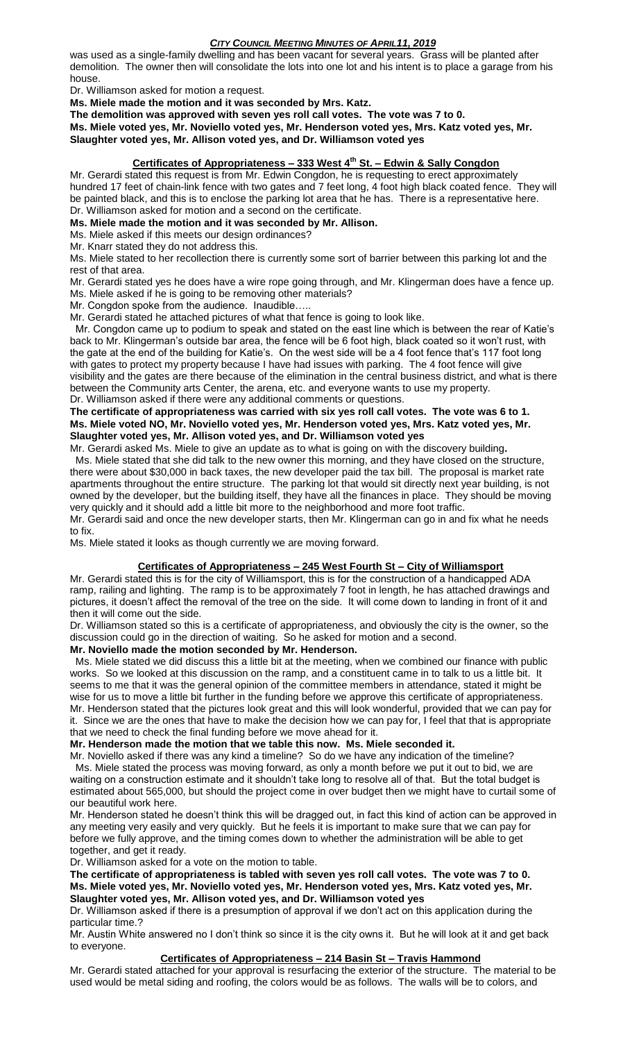was used as a single-family dwelling and has been vacant for several years. Grass will be planted after demolition. The owner then will consolidate the lots into one lot and his intent is to place a garage from his house.

Dr. Williamson asked for motion a request.

**Ms. Miele made the motion and it was seconded by Mrs. Katz.**

**The demolition was approved with seven yes roll call votes. The vote was 7 to 0.**

**Ms. Miele voted yes, Mr. Noviello voted yes, Mr. Henderson voted yes, Mrs. Katz voted yes, Mr. Slaughter voted yes, Mr. Allison voted yes, and Dr. Williamson voted yes**

## **Certificates of Appropriateness – 333 West 4th St. – Edwin & Sally Congdon**

Mr. Gerardi stated this request is from Mr. Edwin Congdon, he is requesting to erect approximately hundred 17 feet of chain-link fence with two gates and 7 feet long, 4 foot high black coated fence. They will be painted black, and this is to enclose the parking lot area that he has. There is a representative here. Dr. Williamson asked for motion and a second on the certificate.

**Ms. Miele made the motion and it was seconded by Mr. Allison.**

## Ms. Miele asked if this meets our design ordinances?

Mr. Knarr stated they do not address this.

Ms. Miele stated to her recollection there is currently some sort of barrier between this parking lot and the rest of that area.

Mr. Gerardi stated yes he does have a wire rope going through, and Mr. Klingerman does have a fence up. Ms. Miele asked if he is going to be removing other materials?

Mr. Congdon spoke from the audience. Inaudible…..

Mr. Gerardi stated he attached pictures of what that fence is going to look like.

 Mr. Congdon came up to podium to speak and stated on the east line which is between the rear of Katie's back to Mr. Klingerman's outside bar area, the fence will be 6 foot high, black coated so it won't rust, with the gate at the end of the building for Katie's. On the west side will be a 4 foot fence that's 117 foot long with gates to protect my property because I have had issues with parking. The 4 foot fence will give visibility and the gates are there because of the elimination in the central business district, and what is there between the Community arts Center, the arena, etc. and everyone wants to use my property. Dr. Williamson asked if there were any additional comments or questions.

# **The certificate of appropriateness was carried with six yes roll call votes. The vote was 6 to 1.**

**Ms. Miele voted NO, Mr. Noviello voted yes, Mr. Henderson voted yes, Mrs. Katz voted yes, Mr. Slaughter voted yes, Mr. Allison voted yes, and Dr. Williamson voted yes**

Mr. Gerardi asked Ms. Miele to give an update as to what is going on with the discovery building**.** Ms. Miele stated that she did talk to the new owner this morning, and they have closed on the structure, there were about \$30,000 in back taxes, the new developer paid the tax bill. The proposal is market rate apartments throughout the entire structure. The parking lot that would sit directly next year building, is not owned by the developer, but the building itself, they have all the finances in place. They should be moving very quickly and it should add a little bit more to the neighborhood and more foot traffic.

Mr. Gerardi said and once the new developer starts, then Mr. Klingerman can go in and fix what he needs to fix.

Ms. Miele stated it looks as though currently we are moving forward.

# **Certificates of Appropriateness – 245 West Fourth St – City of Williamsport**

Mr. Gerardi stated this is for the city of Williamsport, this is for the construction of a handicapped ADA ramp, railing and lighting. The ramp is to be approximately 7 foot in length, he has attached drawings and pictures, it doesn't affect the removal of the tree on the side. It will come down to landing in front of it and then it will come out the side.

Dr. Williamson stated so this is a certificate of appropriateness, and obviously the city is the owner, so the discussion could go in the direction of waiting. So he asked for motion and a second.

# **Mr. Noviello made the motion seconded by Mr. Henderson.**

 Ms. Miele stated we did discuss this a little bit at the meeting, when we combined our finance with public works. So we looked at this discussion on the ramp, and a constituent came in to talk to us a little bit. It seems to me that it was the general opinion of the committee members in attendance, stated it might be wise for us to move a little bit further in the funding before we approve this certificate of appropriateness. Mr. Henderson stated that the pictures look great and this will look wonderful, provided that we can pay for it. Since we are the ones that have to make the decision how we can pay for, I feel that that is appropriate that we need to check the final funding before we move ahead for it.

#### **Mr. Henderson made the motion that we table this now. Ms. Miele seconded it.**

Mr. Noviello asked if there was any kind a timeline? So do we have any indication of the timeline? Ms. Miele stated the process was moving forward, as only a month before we put it out to bid, we are waiting on a construction estimate and it shouldn't take long to resolve all of that. But the total budget is estimated about 565,000, but should the project come in over budget then we might have to curtail some of our beautiful work here.

Mr. Henderson stated he doesn't think this will be dragged out, in fact this kind of action can be approved in any meeting very easily and very quickly. But he feels it is important to make sure that we can pay for before we fully approve, and the timing comes down to whether the administration will be able to get together, and get it ready.

Dr. Williamson asked for a vote on the motion to table.

**The certificate of appropriateness is tabled with seven yes roll call votes. The vote was 7 to 0. Ms. Miele voted yes, Mr. Noviello voted yes, Mr. Henderson voted yes, Mrs. Katz voted yes, Mr. Slaughter voted yes, Mr. Allison voted yes, and Dr. Williamson voted yes**

Dr. Williamson asked if there is a presumption of approval if we don't act on this application during the particular time.?

Mr. Austin White answered no I don't think so since it is the city owns it. But he will look at it and get back to everyone.

## **Certificates of Appropriateness – 214 Basin St – Travis Hammond**

Mr. Gerardi stated attached for your approval is resurfacing the exterior of the structure. The material to be used would be metal siding and roofing, the colors would be as follows. The walls will be to colors, and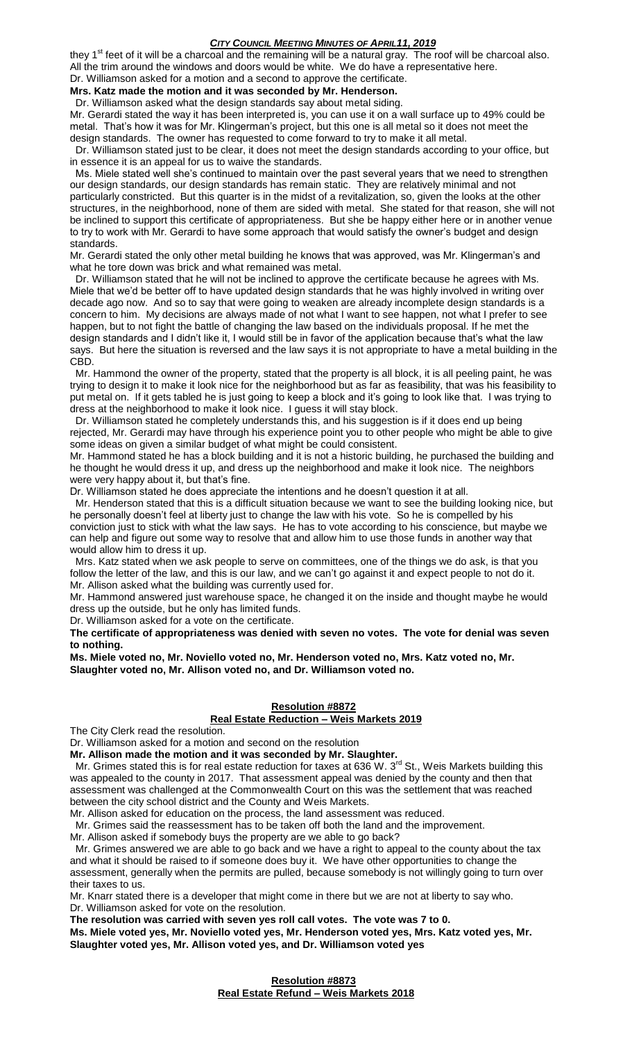they  $1<sup>st</sup>$  feet of it will be a charcoal and the remaining will be a natural gray. The roof will be charcoal also. All the trim around the windows and doors would be white. We do have a representative here.

#### Dr. Williamson asked for a motion and a second to approve the certificate. **Mrs. Katz made the motion and it was seconded by Mr. Henderson.**

Dr. Williamson asked what the design standards say about metal siding.

Mr. Gerardi stated the way it has been interpreted is, you can use it on a wall surface up to 49% could be metal. That's how it was for Mr. Klingerman's project, but this one is all metal so it does not meet the design standards. The owner has requested to come forward to try to make it all metal.

 Dr. Williamson stated just to be clear, it does not meet the design standards according to your office, but in essence it is an appeal for us to waive the standards.

 Ms. Miele stated well she's continued to maintain over the past several years that we need to strengthen our design standards, our design standards has remain static. They are relatively minimal and not particularly constricted. But this quarter is in the midst of a revitalization, so, given the looks at the other structures, in the neighborhood, none of them are sided with metal. She stated for that reason, she will not be inclined to support this certificate of appropriateness. But she be happy either here or in another venue to try to work with Mr. Gerardi to have some approach that would satisfy the owner's budget and design standards.

Mr. Gerardi stated the only other metal building he knows that was approved, was Mr. Klingerman's and what he tore down was brick and what remained was metal.

 Dr. Williamson stated that he will not be inclined to approve the certificate because he agrees with Ms. Miele that we'd be better off to have updated design standards that he was highly involved in writing over decade ago now. And so to say that were going to weaken are already incomplete design standards is a concern to him. My decisions are always made of not what I want to see happen, not what I prefer to see happen, but to not fight the battle of changing the law based on the individuals proposal. If he met the design standards and I didn't like it, I would still be in favor of the application because that's what the law says. But here the situation is reversed and the law says it is not appropriate to have a metal building in the CBD.

 Mr. Hammond the owner of the property, stated that the property is all block, it is all peeling paint, he was trying to design it to make it look nice for the neighborhood but as far as feasibility, that was his feasibility to put metal on. If it gets tabled he is just going to keep a block and it's going to look like that. I was trying to dress at the neighborhood to make it look nice. I guess it will stay block.

 Dr. Williamson stated he completely understands this, and his suggestion is if it does end up being rejected, Mr. Gerardi may have through his experience point you to other people who might be able to give some ideas on given a similar budget of what might be could consistent.

Mr. Hammond stated he has a block building and it is not a historic building, he purchased the building and he thought he would dress it up, and dress up the neighborhood and make it look nice. The neighbors were very happy about it, but that's fine.

Dr. Williamson stated he does appreciate the intentions and he doesn't question it at all.

 Mr. Henderson stated that this is a difficult situation because we want to see the building looking nice, but he personally doesn't feel at liberty just to change the law with his vote. So he is compelled by his conviction just to stick with what the law says. He has to vote according to his conscience, but maybe we can help and figure out some way to resolve that and allow him to use those funds in another way that would allow him to dress it up.

 Mrs. Katz stated when we ask people to serve on committees, one of the things we do ask, is that you follow the letter of the law, and this is our law, and we can't go against it and expect people to not do it. Mr. Allison asked what the building was currently used for.

Mr. Hammond answered just warehouse space, he changed it on the inside and thought maybe he would dress up the outside, but he only has limited funds.

Dr. Williamson asked for a vote on the certificate.

**The certificate of appropriateness was denied with seven no votes. The vote for denial was seven to nothing.** 

**Ms. Miele voted no, Mr. Noviello voted no, Mr. Henderson voted no, Mrs. Katz voted no, Mr. Slaughter voted no, Mr. Allison voted no, and Dr. Williamson voted no.**

#### **Resolution #8872**

## **Real Estate Reduction – Weis Markets 2019**

The City Clerk read the resolution.

Dr. Williamson asked for a motion and second on the resolution

**Mr. Allison made the motion and it was seconded by Mr. Slaughter.**

Mr. Grimes stated this is for real estate reduction for taxes at 636 W. 3<sup>rd</sup> St., Weis Markets building this was appealed to the county in 2017. That assessment appeal was denied by the county and then that assessment was challenged at the Commonwealth Court on this was the settlement that was reached between the city school district and the County and Weis Markets.

Mr. Allison asked for education on the process, the land assessment was reduced.

Mr. Grimes said the reassessment has to be taken off both the land and the improvement.

Mr. Allison asked if somebody buys the property are we able to go back?

 Mr. Grimes answered we are able to go back and we have a right to appeal to the county about the tax and what it should be raised to if someone does buy it. We have other opportunities to change the assessment, generally when the permits are pulled, because somebody is not willingly going to turn over their taxes to us.

Mr. Knarr stated there is a developer that might come in there but we are not at liberty to say who. Dr. Williamson asked for vote on the resolution.

**The resolution was carried with seven yes roll call votes. The vote was 7 to 0.**

**Ms. Miele voted yes, Mr. Noviello voted yes, Mr. Henderson voted yes, Mrs. Katz voted yes, Mr. Slaughter voted yes, Mr. Allison voted yes, and Dr. Williamson voted yes**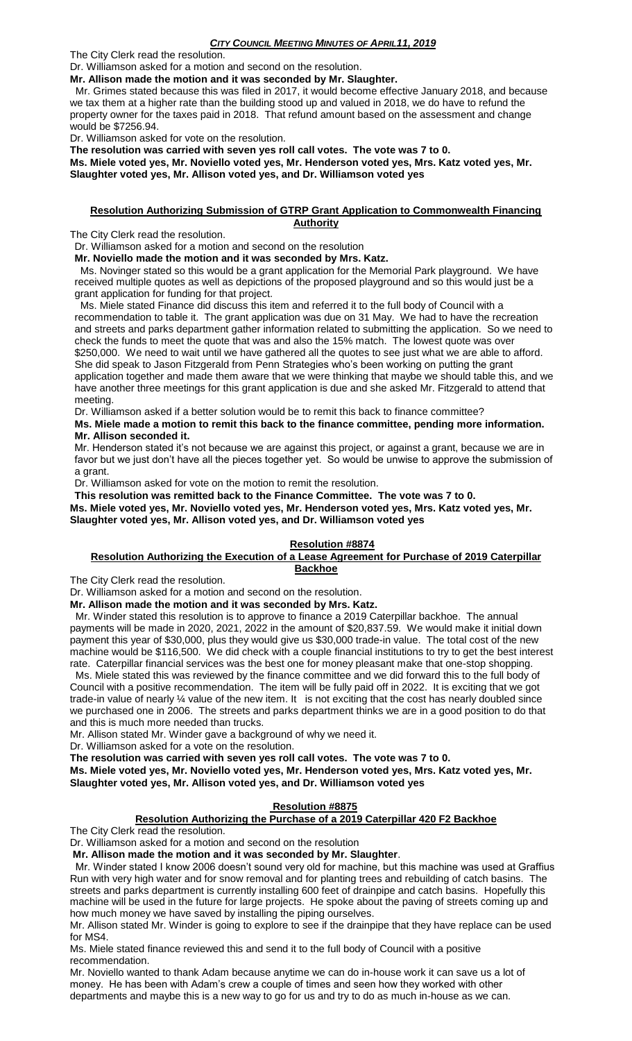The City Clerk read the resolution. Dr. Williamson asked for a motion and second on the resolution.

**Mr. Allison made the motion and it was seconded by Mr. Slaughter.**

 Mr. Grimes stated because this was filed in 2017, it would become effective January 2018, and because we tax them at a higher rate than the building stood up and valued in 2018, we do have to refund the property owner for the taxes paid in 2018. That refund amount based on the assessment and change would be \$7256.94.

Dr. Williamson asked for vote on the resolution.

**The resolution was carried with seven yes roll call votes. The vote was 7 to 0. Ms. Miele voted yes, Mr. Noviello voted yes, Mr. Henderson voted yes, Mrs. Katz voted yes, Mr. Slaughter voted yes, Mr. Allison voted yes, and Dr. Williamson voted yes**

#### **Resolution Authorizing Submission of GTRP Grant Application to Commonwealth Financing Authority**

The City Clerk read the resolution.

Dr. Williamson asked for a motion and second on the resolution

**Mr. Noviello made the motion and it was seconded by Mrs. Katz.**

 Ms. Novinger stated so this would be a grant application for the Memorial Park playground. We have received multiple quotes as well as depictions of the proposed playground and so this would just be a grant application for funding for that project.

 Ms. Miele stated Finance did discuss this item and referred it to the full body of Council with a recommendation to table it. The grant application was due on 31 May. We had to have the recreation and streets and parks department gather information related to submitting the application. So we need to check the funds to meet the quote that was and also the 15% match. The lowest quote was over \$250,000. We need to wait until we have gathered all the quotes to see just what we are able to afford. She did speak to Jason Fitzgerald from Penn Strategies who's been working on putting the grant application together and made them aware that we were thinking that maybe we should table this, and we have another three meetings for this grant application is due and she asked Mr. Fitzgerald to attend that meeting.

Dr. Williamson asked if a better solution would be to remit this back to finance committee?

**Ms. Miele made a motion to remit this back to the finance committee, pending more information. Mr. Allison seconded it.**

Mr. Henderson stated it's not because we are against this project, or against a grant, because we are in favor but we just don't have all the pieces together yet. So would be unwise to approve the submission of a grant.

Dr. Williamson asked for vote on the motion to remit the resolution.

**This resolution was remitted back to the Finance Committee. The vote was 7 to 0. Ms. Miele voted yes, Mr. Noviello voted yes, Mr. Henderson voted yes, Mrs. Katz voted yes, Mr. Slaughter voted yes, Mr. Allison voted yes, and Dr. Williamson voted yes**

## **Resolution #8874**

## **Resolution Authorizing the Execution of a Lease Agreement for Purchase of 2019 Caterpillar Backhoe**

The City Clerk read the resolution.

Dr. Williamson asked for a motion and second on the resolution.

**Mr. Allison made the motion and it was seconded by Mrs. Katz.**

 Mr. Winder stated this resolution is to approve to finance a 2019 Caterpillar backhoe. The annual payments will be made in 2020, 2021, 2022 in the amount of \$20,837.59. We would make it initial down payment this year of \$30,000, plus they would give us \$30,000 trade-in value. The total cost of the new machine would be \$116,500. We did check with a couple financial institutions to try to get the best interest rate. Caterpillar financial services was the best one for money pleasant make that one-stop shopping.

 Ms. Miele stated this was reviewed by the finance committee and we did forward this to the full body of Council with a positive recommendation. The item will be fully paid off in 2022. It is exciting that we got trade-in value of nearly ¼ value of the new item. It is not exciting that the cost has nearly doubled since we purchased one in 2006. The streets and parks department thinks we are in a good position to do that and this is much more needed than trucks.

Mr. Allison stated Mr. Winder gave a background of why we need it.

Dr. Williamson asked for a vote on the resolution.

**The resolution was carried with seven yes roll call votes. The vote was 7 to 0.**

**Ms. Miele voted yes, Mr. Noviello voted yes, Mr. Henderson voted yes, Mrs. Katz voted yes, Mr. Slaughter voted yes, Mr. Allison voted yes, and Dr. Williamson voted yes**

## **Resolution #8875**

## **Resolution Authorizing the Purchase of a 2019 Caterpillar 420 F2 Backhoe**

The City Clerk read the resolution.

Dr. Williamson asked for a motion and second on the resolution

**Mr. Allison made the motion and it was seconded by Mr. Slaughter**.

 Mr. Winder stated I know 2006 doesn't sound very old for machine, but this machine was used at Graffius Run with very high water and for snow removal and for planting trees and rebuilding of catch basins. The streets and parks department is currently installing 600 feet of drainpipe and catch basins. Hopefully this machine will be used in the future for large projects. He spoke about the paving of streets coming up and how much money we have saved by installing the piping ourselves.

Mr. Allison stated Mr. Winder is going to explore to see if the drainpipe that they have replace can be used for MS4.

Ms. Miele stated finance reviewed this and send it to the full body of Council with a positive recommendation.

Mr. Noviello wanted to thank Adam because anytime we can do in-house work it can save us a lot of money. He has been with Adam's crew a couple of times and seen how they worked with other departments and maybe this is a new way to go for us and try to do as much in-house as we can.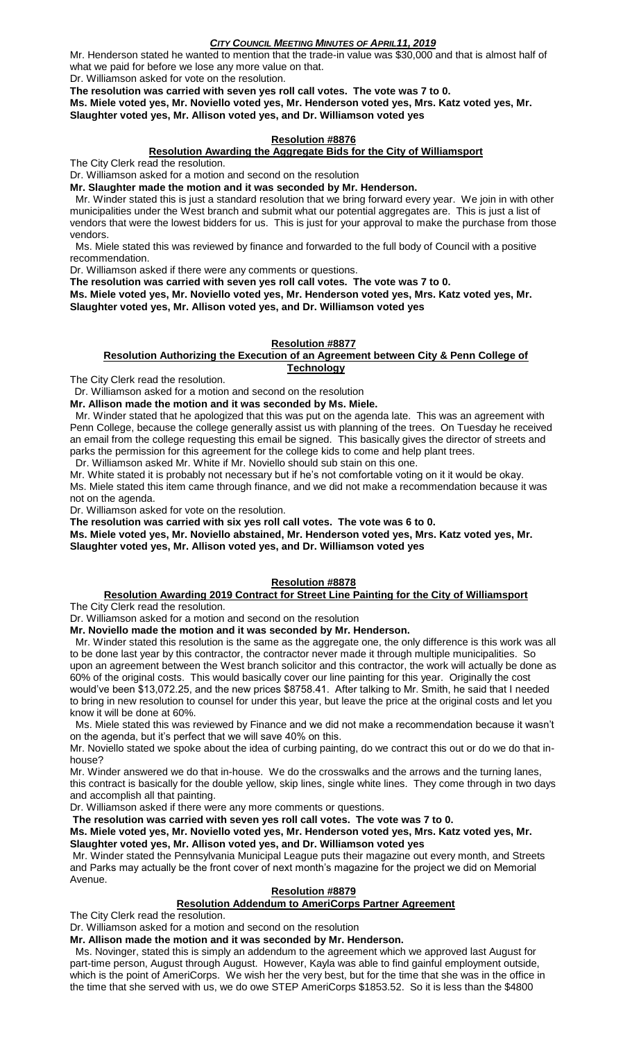Mr. Henderson stated he wanted to mention that the trade-in value was \$30,000 and that is almost half of what we paid for before we lose any more value on that.

Dr. Williamson asked for vote on the resolution.

**The resolution was carried with seven yes roll call votes. The vote was 7 to 0.**

**Ms. Miele voted yes, Mr. Noviello voted yes, Mr. Henderson voted yes, Mrs. Katz voted yes, Mr. Slaughter voted yes, Mr. Allison voted yes, and Dr. Williamson voted yes**

### **Resolution #8876**

#### **Resolution Awarding the Aggregate Bids for the City of Williamsport**

The City Clerk read the resolution.

Dr. Williamson asked for a motion and second on the resolution

**Mr. Slaughter made the motion and it was seconded by Mr. Henderson.**

 Mr. Winder stated this is just a standard resolution that we bring forward every year. We join in with other municipalities under the West branch and submit what our potential aggregates are. This is just a list of vendors that were the lowest bidders for us. This is just for your approval to make the purchase from those vendors.

 Ms. Miele stated this was reviewed by finance and forwarded to the full body of Council with a positive recommendation.

Dr. Williamson asked if there were any comments or questions.

**The resolution was carried with seven yes roll call votes. The vote was 7 to 0.**

**Ms. Miele voted yes, Mr. Noviello voted yes, Mr. Henderson voted yes, Mrs. Katz voted yes, Mr. Slaughter voted yes, Mr. Allison voted yes, and Dr. Williamson voted yes**

### **Resolution #8877**

#### **Resolution Authorizing the Execution of an Agreement between City & Penn College of Technology**

The City Clerk read the resolution.

Dr. Williamson asked for a motion and second on the resolution

**Mr. Allison made the motion and it was seconded by Ms. Miele.**

 Mr. Winder stated that he apologized that this was put on the agenda late. This was an agreement with Penn College, because the college generally assist us with planning of the trees. On Tuesday he received an email from the college requesting this email be signed. This basically gives the director of streets and parks the permission for this agreement for the college kids to come and help plant trees.

Dr. Williamson asked Mr. White if Mr. Noviello should sub stain on this one.

Mr. White stated it is probably not necessary but if he's not comfortable voting on it it would be okay. Ms. Miele stated this item came through finance, and we did not make a recommendation because it was not on the agenda.

Dr. Williamson asked for vote on the resolution.

**The resolution was carried with six yes roll call votes. The vote was 6 to 0.**

**Ms. Miele voted yes, Mr. Noviello abstained, Mr. Henderson voted yes, Mrs. Katz voted yes, Mr. Slaughter voted yes, Mr. Allison voted yes, and Dr. Williamson voted yes**

## **Resolution #8878**

#### **Resolution Awarding 2019 Contract for Street Line Painting for the City of Williamsport** The City Clerk read the resolution.

Dr. Williamson asked for a motion and second on the resolution

**Mr. Noviello made the motion and it was seconded by Mr. Henderson.**

 Mr. Winder stated this resolution is the same as the aggregate one, the only difference is this work was all to be done last year by this contractor, the contractor never made it through multiple municipalities. So upon an agreement between the West branch solicitor and this contractor, the work will actually be done as 60% of the original costs. This would basically cover our line painting for this year. Originally the cost would've been \$13,072.25, and the new prices \$8758.41. After talking to Mr. Smith, he said that I needed to bring in new resolution to counsel for under this year, but leave the price at the original costs and let you know it will be done at 60%.

 Ms. Miele stated this was reviewed by Finance and we did not make a recommendation because it wasn't on the agenda, but it's perfect that we will save 40% on this.

Mr. Noviello stated we spoke about the idea of curbing painting, do we contract this out or do we do that inhouse?

Mr. Winder answered we do that in-house. We do the crosswalks and the arrows and the turning lanes, this contract is basically for the double yellow, skip lines, single white lines. They come through in two days and accomplish all that painting.

Dr. Williamson asked if there were any more comments or questions.

**The resolution was carried with seven yes roll call votes. The vote was 7 to 0.**

**Ms. Miele voted yes, Mr. Noviello voted yes, Mr. Henderson voted yes, Mrs. Katz voted yes, Mr. Slaughter voted yes, Mr. Allison voted yes, and Dr. Williamson voted yes**

Mr. Winder stated the Pennsylvania Municipal League puts their magazine out every month, and Streets and Parks may actually be the front cover of next month's magazine for the project we did on Memorial Avenue.

## **Resolution #8879**

# **Resolution Addendum to AmeriCorps Partner Agreement**

The City Clerk read the resolution.

Dr. Williamson asked for a motion and second on the resolution

**Mr. Allison made the motion and it was seconded by Mr. Henderson.**

 Ms. Novinger, stated this is simply an addendum to the agreement which we approved last August for part-time person, August through August. However, Kayla was able to find gainful employment outside, which is the point of AmeriCorps. We wish her the very best, but for the time that she was in the office in the time that she served with us, we do owe STEP AmeriCorps \$1853.52. So it is less than the \$4800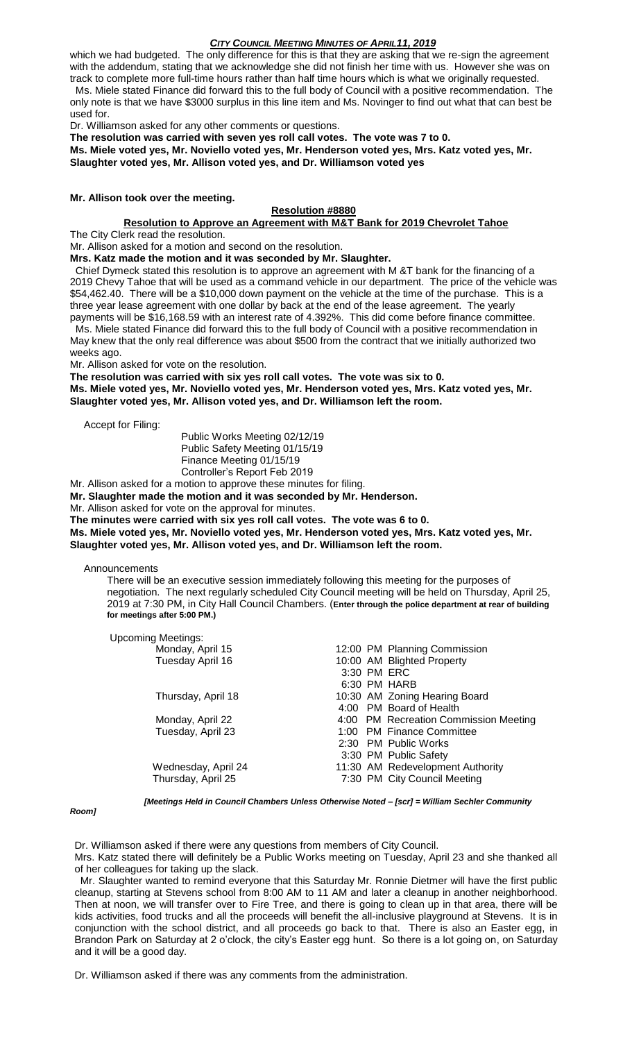which we had budgeted. The only difference for this is that they are asking that we re-sign the agreement with the addendum, stating that we acknowledge she did not finish her time with us. However she was on track to complete more full-time hours rather than half time hours which is what we originally requested. Ms. Miele stated Finance did forward this to the full body of Council with a positive recommendation. The

only note is that we have \$3000 surplus in this line item and Ms. Novinger to find out what that can best be used for.

Dr. Williamson asked for any other comments or questions.

**The resolution was carried with seven yes roll call votes. The vote was 7 to 0. Ms. Miele voted yes, Mr. Noviello voted yes, Mr. Henderson voted yes, Mrs. Katz voted yes, Mr. Slaughter voted yes, Mr. Allison voted yes, and Dr. Williamson voted yes**

#### **Mr. Allison took over the meeting.**

# **Resolution #8880**

**Resolution to Approve an Agreement with M&T Bank for 2019 Chevrolet Tahoe**

The City Clerk read the resolution.

Mr. Allison asked for a motion and second on the resolution.

**Mrs. Katz made the motion and it was seconded by Mr. Slaughter.**

 Chief Dymeck stated this resolution is to approve an agreement with M &T bank for the financing of a 2019 Chevy Tahoe that will be used as a command vehicle in our department. The price of the vehicle was \$54,462.40. There will be a \$10,000 down payment on the vehicle at the time of the purchase. This is a three year lease agreement with one dollar by back at the end of the lease agreement. The yearly payments will be \$16,168.59 with an interest rate of 4.392%. This did come before finance committee.

 Ms. Miele stated Finance did forward this to the full body of Council with a positive recommendation in May knew that the only real difference was about \$500 from the contract that we initially authorized two weeks ago.

Mr. Allison asked for vote on the resolution.

**The resolution was carried with six yes roll call votes. The vote was six to 0.**

**Ms. Miele voted yes, Mr. Noviello voted yes, Mr. Henderson voted yes, Mrs. Katz voted yes, Mr. Slaughter voted yes, Mr. Allison voted yes, and Dr. Williamson left the room.**

Accept for Filing:

Public Works Meeting 02/12/19 Public Safety Meeting 01/15/19 Finance Meeting 01/15/19 Controller's Report Feb 2019

Mr. Allison asked for a motion to approve these minutes for filing.

**Mr. Slaughter made the motion and it was seconded by Mr. Henderson.**

Mr. Allison asked for vote on the approval for minutes.

**The minutes were carried with six yes roll call votes. The vote was 6 to 0.**

**Ms. Miele voted yes, Mr. Noviello voted yes, Mr. Henderson voted yes, Mrs. Katz voted yes, Mr. Slaughter voted yes, Mr. Allison voted yes, and Dr. Williamson left the room.**

Announcements

There will be an executive session immediately following this meeting for the purposes of negotiation. The next regularly scheduled City Council meeting will be held on Thursday, April 25, 2019 at 7:30 PM, in City Hall Council Chambers. (**Enter through the police department at rear of building for meetings after 5:00 PM.)**

| <b>Upcoming Meetings:</b> |                                       |
|---------------------------|---------------------------------------|
| Monday, April 15          | 12:00 PM Planning Commission          |
| Tuesday April 16          | 10:00 AM Blighted Property            |
|                           | 3:30 PM ERC                           |
|                           | 6:30 PM HARB                          |
| Thursday, April 18        | 10:30 AM Zoning Hearing Board         |
|                           | 4:00 PM Board of Health               |
| Monday, April 22          | 4:00 PM Recreation Commission Meeting |
| Tuesday, April 23         | 1:00 PM Finance Committee             |
|                           | 2:30 PM Public Works                  |
|                           | 3:30 PM Public Safety                 |
| Wednesday, April 24       | 11:30 AM Redevelopment Authority      |
| Thursday, April 25        | 7:30 PM City Council Meeting          |

#### *Room]*

*[Meetings Held in Council Chambers Unless Otherwise Noted – [scr] = William Sechler Community* 

Dr. Williamson asked if there were any questions from members of City Council. Mrs. Katz stated there will definitely be a Public Works meeting on Tuesday, April 23 and she thanked all of her colleagues for taking up the slack.

 Mr. Slaughter wanted to remind everyone that this Saturday Mr. Ronnie Dietmer will have the first public cleanup, starting at Stevens school from 8:00 AM to 11 AM and later a cleanup in another neighborhood. Then at noon, we will transfer over to Fire Tree, and there is going to clean up in that area, there will be kids activities, food trucks and all the proceeds will benefit the all-inclusive playground at Stevens. It is in conjunction with the school district, and all proceeds go back to that. There is also an Easter egg, in Brandon Park on Saturday at 2 o'clock, the city's Easter egg hunt. So there is a lot going on, on Saturday and it will be a good day.

Dr. Williamson asked if there was any comments from the administration.